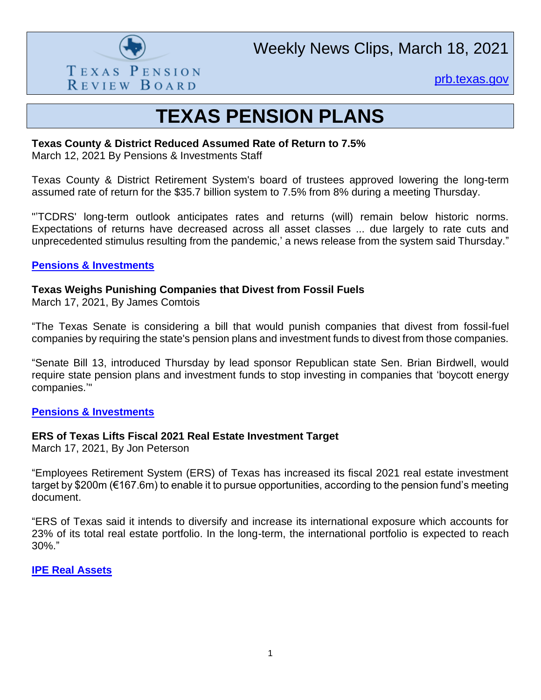

Weekly News Clips, March 18, 2021

[prb.texas.gov](http://www.prb.texas.gov/)

### **TEXAS PENSION PLANS**

#### **Texas County & District Reduced Assumed Rate of Return to 7.5%**

March 12, 2021 By Pensions & Investments Staff

Texas County & District Retirement System's board of trustees approved lowering the long-term assumed rate of return for the \$35.7 billion system to 7.5% from 8% during a meeting Thursday.

"'TCDRS' long-term outlook anticipates rates and returns (will) remain below historic norms. Expectations of returns have decreased across all asset classes ... due largely to rate cuts and unprecedented stimulus resulting from the pandemic,' a news release from the system said Thursday."

#### **[Pensions & Investments](https://www.pionline.com/pension-funds/texas-county-district-reduces-assumed-rate-return-75)**

#### **Texas Weighs Punishing Companies that Divest from Fossil Fuels**

March 17, 2021, By James Comtois

"The Texas Senate is considering a bill that would punish companies that divest from fossil-fuel companies by requiring the state's pension plans and investment funds to divest from those companies.

"Senate Bill 13, introduced Thursday by lead sponsor Republican state Sen. Brian Birdwell, would require state pension plans and investment funds to stop investing in companies that 'boycott energy companies.'"

#### **[Pensions & Investments](https://www.pionline.com/legislation/texas-weighs-punishing-companies-divest-fossil-fuels)**

#### **ERS of Texas Lifts Fiscal 2021 Real Estate Investment Target**

March 17, 2021, By Jon Peterson

"Employees Retirement System (ERS) of Texas has increased its fiscal 2021 real estate investment target by \$200m (€167.6m) to enable it to pursue opportunities, according to the pension fund's meeting document.

"ERS of Texas said it intends to diversify and increase its international exposure which accounts for 23% of its total real estate portfolio. In the long-term, the international portfolio is expected to reach 30%."

#### **[IPE Real Assets](https://realassets.ipe.com/news/ers-of-texas-lifts-fiscal-2021-real-estate-investment-target/10051684.article)**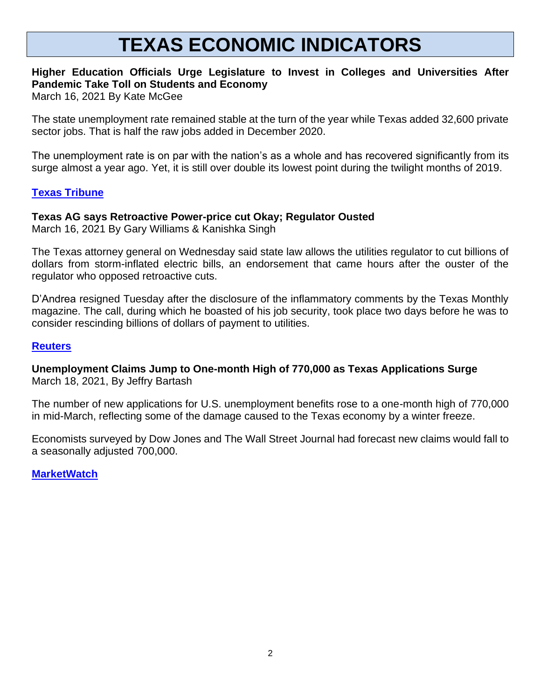# **TEXAS ECONOMIC INDICATORS**

### **Higher Education Officials Urge Legislature to Invest in Colleges and Universities After Pandemic Take Toll on Students and Economy**

March 16, 2021 By Kate McGee

The state unemployment rate remained stable at the turn of the year while Texas added 32,600 private sector jobs. That is half the raw jobs added in December 2020.

The unemployment rate is on par with the nation's as a whole and has recovered significantly from its surge almost a year ago. Yet, it is still over double its lowest point during the twilight months of 2019.

#### **[Texas Tribune](https://www.texastribune.org/2021/03/16/texas-higher-education-bills/)**

#### **Texas AG says Retroactive Power-price cut Okay; Regulator Ousted**

March 16, 2021 By Gary Williams & Kanishka Singh

The Texas attorney general on Wednesday said state law allows the utilities regulator to cut billions of dollars from storm-inflated electric bills, an endorsement that came hours after the ouster of the regulator who opposed retroactive cuts.

D'Andrea resigned Tuesday after the disclosure of the inflammatory comments by the Texas Monthly magazine. The call, during which he boasted of his job security, took place two days before he was to consider rescinding billions of dollars of payment to utilities.

#### **[Reuters](https://www.reuters.com/article/usa-weather-texas-puc/update-4-texas-ag-says-retroactive-power-price-cut-okay-regulator-ousted-idUSL1N2LF08E)**

**Unemployment Claims Jump to One-month High of 770,000 as Texas Applications Surge** March 18, 2021, By Jeffry Bartash

The number of new applications for U.S. unemployment benefits rose to a one-month high of 770,000 in mid-March, reflecting some of the damage caused to the Texas economy by a winter freeze.

Economists surveyed by Dow Jones and The Wall Street Journal had forecast new claims would fall to a seasonally adjusted 700,000.

**[MarketWatch](https://www.marketwatch.com/story/unemployment-claims-jump-to-one-month-high-of-770-000-as-texas-applications-surge-11616071511)**